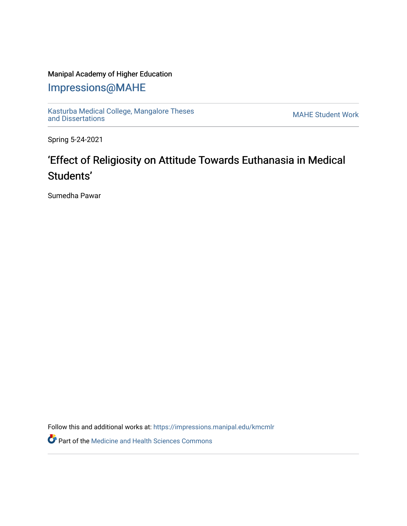### Manipal Academy of Higher Education

[Impressions@MAHE](https://impressions.manipal.edu/)

[Kasturba Medical College, Mangalore Theses](https://impressions.manipal.edu/kmcmlr) Kasturba Medical College, Mangalore Theses<br>[and Dissertations](https://impressions.manipal.edu/kmcmlr) MAHE Student Work

Spring 5-24-2021

# 'Effect of Religiosity on Attitude Towards Euthanasia in Medical Students'

Sumedha Pawar

Follow this and additional works at: [https://impressions.manipal.edu/kmcmlr](https://impressions.manipal.edu/kmcmlr?utm_source=impressions.manipal.edu%2Fkmcmlr%2F185&utm_medium=PDF&utm_campaign=PDFCoverPages) 

**Part of the Medicine and Health Sciences Commons**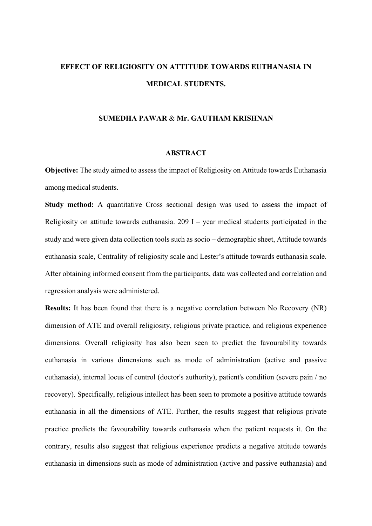## **EFFECT OF RELIGIOSITY ON ATTITUDE TOWARDS EUTHANASIA IN MEDICAL STUDENTS.**

### **SUMEDHA PAWAR** & **Mr. GAUTHAM KRISHNAN**

#### **ABSTRACT**

**Objective:** The study aimed to assess the impact of Religiosity on Attitude towards Euthanasia among medical students.

**Study method:** A quantitative Cross sectional design was used to assess the impact of Religiosity on attitude towards euthanasia. 209  $I - \gamma$  ear medical students participated in the study and were given data collection tools such as socio – demographic sheet, Attitude towards euthanasia scale, Centrality of religiosity scale and Lester's attitude towards euthanasia scale. After obtaining informed consent from the participants, data was collected and correlation and regression analysis were administered.

**Results:** It has been found that there is a negative correlation between No Recovery (NR) dimension of ATE and overall religiosity, religious private practice, and religious experience dimensions. Overall religiosity has also been seen to predict the favourability towards euthanasia in various dimensions such as mode of administration (active and passive euthanasia), internal locus of control (doctor's authority), patient's condition (severe pain / no recovery). Specifically, religious intellect has been seen to promote a positive attitude towards euthanasia in all the dimensions of ATE. Further, the results suggest that religious private practice predicts the favourability towards euthanasia when the patient requests it. On the contrary, results also suggest that religious experience predicts a negative attitude towards euthanasia in dimensions such as mode of administration (active and passive euthanasia) and